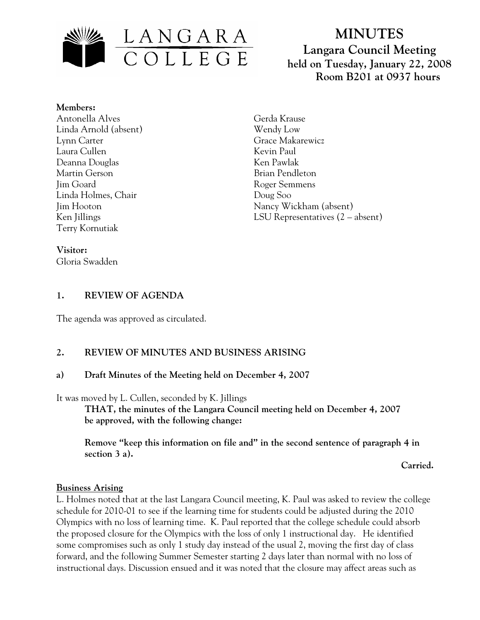

**MINUTES Langara Council Meeting held on Tuesday, January 22, 2008 Room B201 at 0937 hours**

#### **Members:**

Antonella Alves Linda Arnold (absent) Lynn Carter Laura Cullen Deanna Douglas Martin Gerson Jim Goard Linda Holmes, Chair Jim Hooton Ken Jillings Terry Kornutiak

Gerda Krause Wendy Low Grace Makarewicz Kevin Paul Ken Pawlak Brian Pendleton Roger Semmens Doug Soo Nancy Wickham (absent) LSU Representatives (2 – absent)

#### **Visitor:**

Gloria Swadden

#### **1. REVIEW OF AGENDA**

The agenda was approved as circulated.

# **2. REVIEW OF MINUTES AND BUSINESS ARISING**

#### **a) Draft Minutes of the Meeting held on December 4, 2007**

It was moved by L. Cullen, seconded by K. Jillings

**THAT, the minutes of the Langara Council meeting held on December 4, 2007 be approved, with the following change:** 

**Remove "keep this information on file and" in the second sentence of paragraph 4 in section 3 a).** 

 **Carried.** 

#### **Business Arising**

L. Holmes noted that at the last Langara Council meeting, K. Paul was asked to review the college schedule for 2010-01 to see if the learning time for students could be adjusted during the 2010 Olympics with no loss of learning time. K. Paul reported that the college schedule could absorb the proposed closure for the Olympics with the loss of only 1 instructional day. He identified some compromises such as only 1 study day instead of the usual 2, moving the first day of class forward, and the following Summer Semester starting 2 days later than normal with no loss of instructional days. Discussion ensued and it was noted that the closure may affect areas such as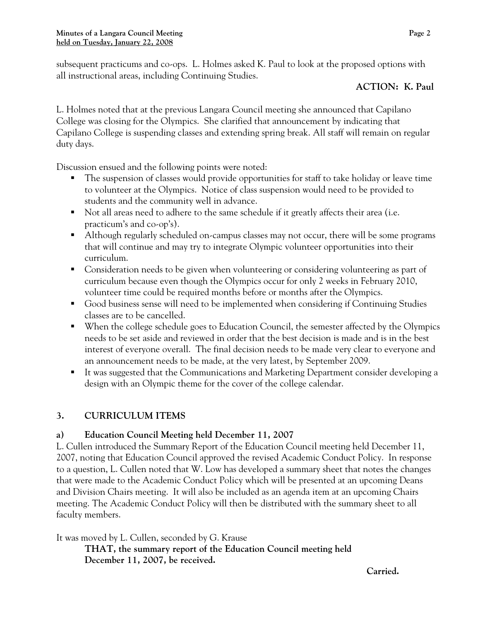#### **ACTION: K. Paul**

L. Holmes noted that at the previous Langara Council meeting she announced that Capilano College was closing for the Olympics. She clarified that announcement by indicating that Capilano College is suspending classes and extending spring break. All staff will remain on regular duty days.

Discussion ensued and the following points were noted:

- The suspension of classes would provide opportunities for staff to take holiday or leave time to volunteer at the Olympics. Notice of class suspension would need to be provided to students and the community well in advance.
- Not all areas need to adhere to the same schedule if it greatly affects their area (i.e. practicum's and co-op's).
- Although regularly scheduled on-campus classes may not occur, there will be some programs that will continue and may try to integrate Olympic volunteer opportunities into their curriculum.
- Consideration needs to be given when volunteering or considering volunteering as part of curriculum because even though the Olympics occur for only 2 weeks in February 2010, volunteer time could be required months before or months after the Olympics.
- Good business sense will need to be implemented when considering if Continuing Studies classes are to be cancelled.
- When the college schedule goes to Education Council, the semester affected by the Olympics needs to be set aside and reviewed in order that the best decision is made and is in the best interest of everyone overall. The final decision needs to be made very clear to everyone and an announcement needs to be made, at the very latest, by September 2009.
- It was suggested that the Communications and Marketing Department consider developing a design with an Olympic theme for the cover of the college calendar.

# **3. CURRICULUM ITEMS**

# **a) Education Council Meeting held December 11, 2007**

L. Cullen introduced the Summary Report of the Education Council meeting held December 11, 2007, noting that Education Council approved the revised Academic Conduct Policy. In response to a question, L. Cullen noted that W. Low has developed a summary sheet that notes the changes that were made to the Academic Conduct Policy which will be presented at an upcoming Deans and Division Chairs meeting. It will also be included as an agenda item at an upcoming Chairs meeting. The Academic Conduct Policy will then be distributed with the summary sheet to all faculty members.

It was moved by L. Cullen, seconded by G. Krause

**THAT, the summary report of the Education Council meeting held December 11, 2007, be received.**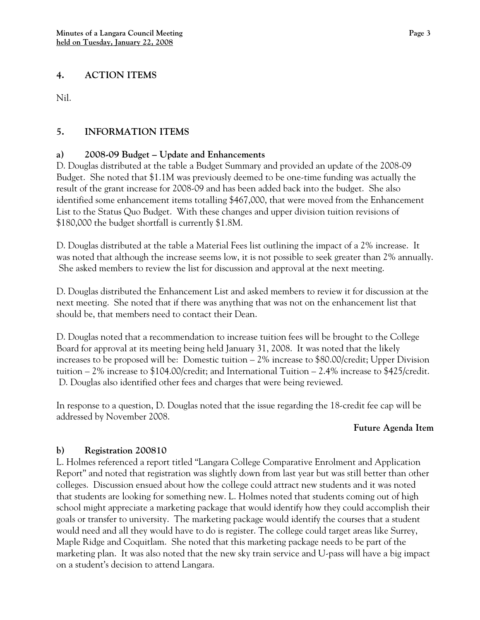#### **4. ACTION ITEMS**

Nil.

### **5. INFORMATION ITEMS**

### **a) 2008-09 Budget – Update and Enhancements**

D. Douglas distributed at the table a Budget Summary and provided an update of the 2008-09 Budget. She noted that \$1.1M was previously deemed to be one-time funding was actually the result of the grant increase for 2008-09 and has been added back into the budget. She also identified some enhancement items totalling \$467,000, that were moved from the Enhancement List to the Status Quo Budget. With these changes and upper division tuition revisions of \$180,000 the budget shortfall is currently \$1.8M.

D. Douglas distributed at the table a Material Fees list outlining the impact of a 2% increase. It was noted that although the increase seems low, it is not possible to seek greater than 2% annually. She asked members to review the list for discussion and approval at the next meeting.

D. Douglas distributed the Enhancement List and asked members to review it for discussion at the next meeting. She noted that if there was anything that was not on the enhancement list that should be, that members need to contact their Dean.

D. Douglas noted that a recommendation to increase tuition fees will be brought to the College Board for approval at its meeting being held January 31, 2008. It was noted that the likely increases to be proposed will be: Domestic tuition – 2% increase to \$80.00/credit; Upper Division tuition – 2% increase to \$104.00/credit; and International Tuition – 2.4% increase to \$425/credit. D. Douglas also identified other fees and charges that were being reviewed.

In response to a question, D. Douglas noted that the issue regarding the 18-credit fee cap will be addressed by November 2008.

#### **Future Agenda Item**

#### **b) Registration 200810**

L. Holmes referenced a report titled "Langara College Comparative Enrolment and Application Report" and noted that registration was slightly down from last year but was still better than other colleges. Discussion ensued about how the college could attract new students and it was noted that students are looking for something new. L. Holmes noted that students coming out of high school might appreciate a marketing package that would identify how they could accomplish their goals or transfer to university. The marketing package would identify the courses that a student would need and all they would have to do is register. The college could target areas like Surrey, Maple Ridge and Coquitlam. She noted that this marketing package needs to be part of the marketing plan. It was also noted that the new sky train service and U-pass will have a big impact on a student's decision to attend Langara.